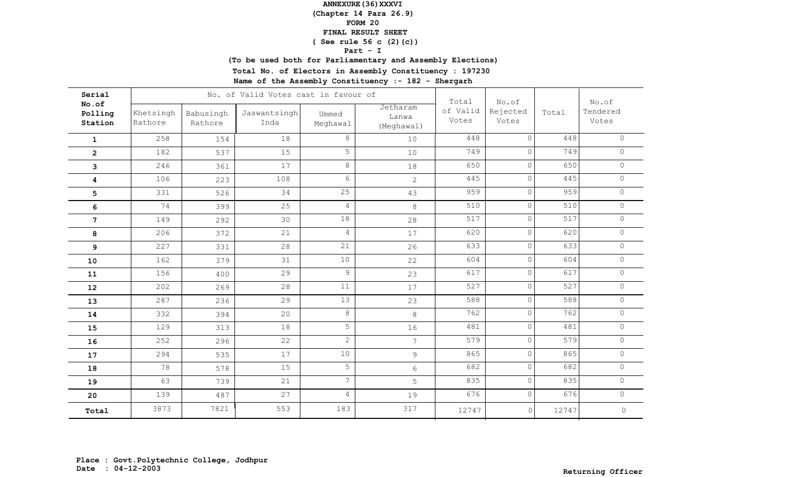**(Chapter 14 Para 26.9)**

### **FORM 20**

#### **FINAL RESULT SHEET**

# **( See rule 56 c (2)(c))**

### **Part - I**

**(To be used both for Parliamentary and Assembly Elections)**

**Total No. of Electors in Assembly Constituency : 197230**

| Serial                      |                      |                      |                      | No. of Valid Votes cast in favour of |                                 |                            |                            |       |                            |  |
|-----------------------------|----------------------|----------------------|----------------------|--------------------------------------|---------------------------------|----------------------------|----------------------------|-------|----------------------------|--|
| No.of<br>Polling<br>Station | Khetsingh<br>Rathore | Babusingh<br>Rathore | Jaswantsingh<br>Inda | Ummed<br>Meghawal                    | Jetharam<br>Lanwa<br>(Meghawal) | Total<br>of Valid<br>Votes | No.of<br>Rejected<br>Votes | Total | No.of<br>Tendered<br>Votes |  |
| $\mathbf{1}$                | 258                  | 154                  | 18                   | 8                                    | 10                              | 448                        | $\Omega$                   | 448   | $\Omega$                   |  |
| $\overline{2}$              | 182                  | 537                  | 15                   | 5                                    | 10                              | 749                        | $\circ$                    | 749   | $\circ$                    |  |
| 3                           | 246                  | 361                  | 17                   | $8\,$                                | 18                              | 650                        | $\circ$                    | 650   | $\circ$                    |  |
| 4                           | 106                  | 223                  | 108                  | 6                                    | $\overline{2}$                  | 445                        | $\circ$                    | 445   | $\circ$                    |  |
| 5                           | 331                  | 526                  | 34                   | 25                                   | 43                              | 959                        | $\circ$                    | 959   | $\circ$                    |  |
| 6                           | 74                   | 399                  | 25                   | $\sqrt{4}$                           | 8                               | 510                        | $\circ$                    | 510   | $\circ$                    |  |
| $7\overline{ }$             | 149                  | 292                  | 30                   | 18                                   | 28                              | 517                        | 0                          | 517   | $\circ$                    |  |
| 8                           | 206                  | 372                  | 21                   | $\overline{4}$                       | 17                              | 620                        | $\circ$                    | 620   | $\circ$                    |  |
| 9                           | 227                  | 331                  | 28                   | 21                                   | 26                              | 633                        | $\circ$                    | 633   | $\circ$                    |  |
| 10                          | 162                  | 379                  | 31                   | $10$                                 | 22                              | 604                        | $\circ$                    | 604   | $\circ$                    |  |
| ${\bf 11}$                  | 156                  | 400                  | 29                   | 9                                    | 23                              | 617                        | $\circ$                    | 617   | $\circ$                    |  |
| 12                          | 202                  | 269                  | 28                   | 11                                   | 17                              | 527                        | $\circ$                    | 527   | $\circ$                    |  |
| 13                          | 287                  | 236                  | 29                   | 13                                   | 23                              | 588                        | $\circ$                    | 588   | $\circ$                    |  |
| 14                          | 332                  | 394                  | 20                   | $8\,$                                | 8                               | 762                        | $\circ$                    | 762   | $\Omega$                   |  |
| 15                          | 129                  | 313                  | 18                   | 5                                    | 16                              | 481                        | $\circ$                    | 481   | $\circledcirc$             |  |
| 16                          | 252                  | 296                  | 22                   | $\overline{c}$                       | $\overline{7}$                  | 579                        | $\circ$                    | 579   | $\Omega$                   |  |
| 17                          | 294                  | 535                  | 17                   | 10                                   | 9                               | 865                        | $\circ$                    | 865   | $\circledcirc$             |  |
| 18                          | 78                   | 578                  | 15                   | 5                                    | 6                               | 682                        | $\circ$                    | 682   | $\circ$                    |  |
| 19                          | 63                   | 739                  | 21                   | $\overline{7}$                       | 5                               | 835                        | $\circ$                    | 835   | $\circ$                    |  |
| 20                          | 139                  | 487                  | 27                   | $\overline{4}$                       | 19                              | 676                        | $\circ$                    | 676   | $\circ$                    |  |
| Total                       | 3873                 | 7821                 | 553                  | 183                                  | 317                             | 12747                      | $\circ$                    | 12747 | $\mathsf{O}\xspace$        |  |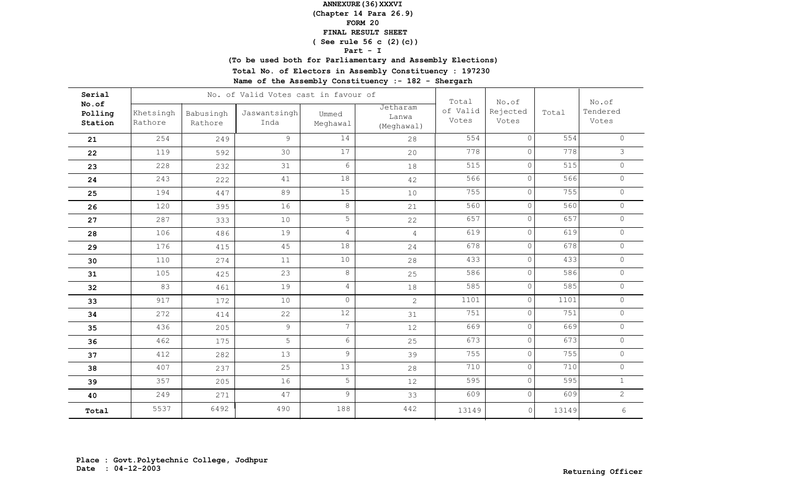**(Chapter 14 Para 26.9)**

### **FORM 20**

#### **FINAL RESULT SHEET**

## **( See rule 56 c (2)(c))**

### **Part - I**

**(To be used both for Parliamentary and Assembly Elections)**

**Total No. of Electors in Assembly Constituency : 197230**

| Serial                      |                      |                      | No. of Valid Votes cast in favour of | Total             | No.of                           |                   | No.of             |       |                   |
|-----------------------------|----------------------|----------------------|--------------------------------------|-------------------|---------------------------------|-------------------|-------------------|-------|-------------------|
| No.of<br>Polling<br>Station | Khetsingh<br>Rathore | Babusingh<br>Rathore | Jaswantsingh<br>Inda                 | Ummed<br>Meghawal | Jetharam<br>Lanwa<br>(Meghawal) | of Valid<br>Votes | Rejected<br>Votes | Total | Tendered<br>Votes |
| 21                          | 254                  | 249                  | $\mathcal{G}$                        | 14                | 28                              | 554               | $\Omega$          | 554   | $\Omega$          |
| 22                          | 119                  | 592                  | 30                                   | 17                | 20                              | 778               | $\circ$           | 778   | $\mathcal{S}$     |
| 23                          | 228                  | 232                  | 31                                   | $6\,$             | 18                              | 515               | $\Omega$          | 515   | $\circ$           |
| 24                          | 243                  | 222                  | 41                                   | 18                | 42                              | 566               | $\circ$           | 566   | $\circ$           |
| 25                          | 194                  | 447                  | 89                                   | 15                | 10                              | 755               | $\circ$           | 755   | $\circ$           |
| 26                          | 120                  | 395                  | 16                                   | $8\,$             | 21                              | 560               | $\circ$           | 560   | $\circ$           |
| 27                          | 287                  | 333                  | 10                                   | 5                 | 22                              | 657               | $\circ$           | 657   | $\circ$           |
| 28                          | 106                  | 486                  | 19                                   | $\overline{4}$    | $\overline{4}$                  | 619               | $\circ$           | 619   | $\circ$           |
| 29                          | 176                  | 415                  | 45                                   | 18                | 24                              | 678               | $\circ$           | 678   | $\circ$           |
| 30                          | 110                  | 274                  | 11                                   | 10                | 28                              | 433               | $\circ$           | 433   | $\circ$           |
| 31                          | 105                  | 425                  | 23                                   | $8\,$             | 25                              | 586               | $\circ$           | 586   | $\circ$           |
| 32                          | 83                   | 461                  | 19                                   | $\overline{4}$    | 18                              | 585               | $\circ$           | 585   | $\circ$           |
| 33                          | 917                  | 172                  | 10                                   | $\circ$           | $\overline{2}$                  | 1101              | $\circ$           | 1101  | $\circ$           |
| 34                          | 272                  | 414                  | 22                                   | 12                | 31                              | 751               | $\circ$           | 751   | $\circ$           |
| 35                          | 436                  | 205                  | $\overline{9}$                       | $\overline{7}$    | 12                              | 669               | $\circ$           | 669   | $\circledcirc$    |
| 36                          | 462                  | 175                  | 5                                    | $6\,$             | 25                              | 673               | $\circ$           | 673   | $\Omega$          |
| 37                          | 412                  | 282                  | 13                                   | $\overline{9}$    | 39                              | 755               | $\circ$           | 755   | $\circ$           |
| 38                          | 407                  | 237                  | 25                                   | 13                | 28                              | 710               | $\circ$           | 710   | $\circ$           |
| 39                          | 357                  | 205                  | 16                                   | 5                 | 12                              | 595               | $\circ$           | 595   | $\mathbf{1}$      |
| 40                          | 249                  | 271                  | 47                                   | $\mathcal{G}$     | 33                              | 609               | $\circ$           | 609   | $\overline{2}$    |
| Total                       | 5537                 | 6492                 | 490                                  | 188               | 442                             | 13149             | $\circ$           | 13149 | $\epsilon$        |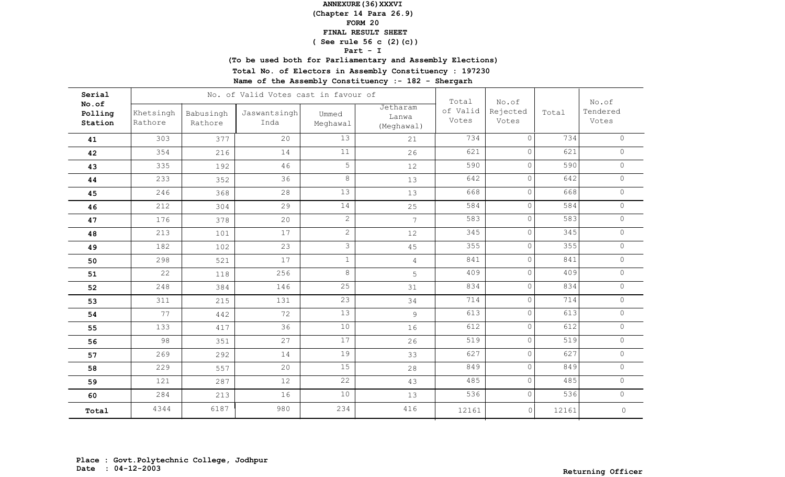**(Chapter 14 Para 26.9)**

### **FORM 20**

#### **FINAL RESULT SHEET**

## **( See rule 56 c (2)(c))**

### **Part - I**

**(To be used both for Parliamentary and Assembly Elections)**

**Total No. of Electors in Assembly Constituency : 197230**

| Serial                      |                      |                      | No. of Valid Votes cast in favour of |                   | Total                           | No.of             |                   | No.of |                     |
|-----------------------------|----------------------|----------------------|--------------------------------------|-------------------|---------------------------------|-------------------|-------------------|-------|---------------------|
| No.of<br>Polling<br>Station | Khetsingh<br>Rathore | Babusingh<br>Rathore | Jaswantsingh<br>Inda                 | Ummed<br>Meghawal | Jetharam<br>Lanwa<br>(Meghawal) | of Valid<br>Votes | Rejected<br>Votes | Total | Tendered<br>Votes   |
| 41                          | 303                  | 377                  | 20                                   | 13                | 21                              | 734               | $\Omega$          | 734   | $\circ$             |
| 42                          | 354                  | 216                  | 14                                   | 11                | 26                              | 621               | $\circ$           | 621   | $\circ$             |
| 43                          | 335                  | 192                  | 46                                   | 5                 | 12                              | 590               | $\Omega$          | 590   | $\circ$             |
| 44                          | 233                  | 352                  | 36                                   | $8\,$             | 13                              | 642               | $\circ$           | 642   | $\circ$             |
| 45                          | 246                  | 368                  | 28                                   | 13                | 13                              | 668               | $\circ$           | 668   | $\circ$             |
| 46                          | 212                  | 304                  | 29                                   | 14                | 25                              | 584               | $\circ$           | 584   | $\circ$             |
| 47                          | 176                  | 378                  | 20                                   | $\overline{2}$    | $7\overline{ }$                 | 583               | $\circ$           | 583   | $\circ$             |
| 48                          | 213                  | 101                  | 17                                   | $\overline{2}$    | 12                              | 345               | $\circ$           | 345   | $\circ$             |
| 49                          | 182                  | 102                  | 23                                   | $\mathfrak{Z}$    | 45                              | 355               | $\circ$           | 355   | $\circ$             |
| 50                          | 298                  | 521                  | 17                                   | $\,1\,$           | $\overline{4}$                  | 841               | $\circ$           | 841   | $\circ$             |
| 51                          | 22                   | 118                  | 256                                  | $8\,$             | 5                               | 409               | $\circ$           | 409   | $\circ$             |
| 52                          | 248                  | 384                  | 146                                  | 25                | 31                              | 834               | $\circ$           | 834   | $\circ$             |
| 53                          | 311                  | 215                  | 131                                  | 23                | 34                              | 714               | $\circ$           | 714   | $\circ$             |
| 54                          | 77                   | 442                  | 72                                   | 13                | 9                               | 613               | $\circ$           | 613   | $\circ$             |
| 55                          | 133                  | 417                  | 36                                   | 10                | 16                              | 612               | $\circ$           | 612   | $\circledcirc$      |
| 56                          | 98                   | 351                  | 27                                   | 17                | 26                              | 519               | $\circ$           | 519   | $\Omega$            |
| 57                          | 269                  | 292                  | 14                                   | 19                | 33                              | 627               | $\circ$           | 627   | $\circ$             |
| 58                          | 229                  | 557                  | 20                                   | 15                | 28                              | 849               | $\circ$           | 849   | $\circ$             |
| 59                          | 121                  | 287                  | 12                                   | $\overline{22}$   | 43                              | 485               | $\circ$           | 485   | $\circ$             |
| 60                          | 284                  | 213                  | 16                                   | 10                | 13                              | 536               | $\circ$           | 536   | $\circ$             |
| Total                       | 4344                 | 6187                 | 980                                  | 234               | 416                             | 12161             | $\circ$           | 12161 | $\mathsf{O}\xspace$ |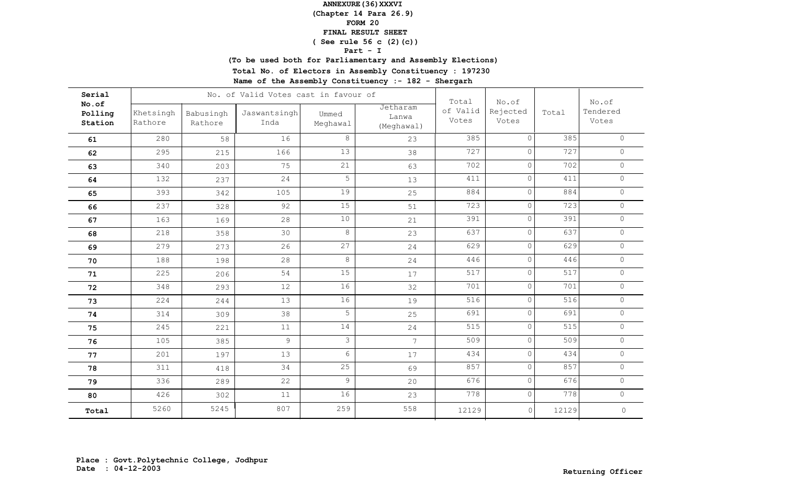**(Chapter 14 Para 26.9)**

### **FORM 20**

#### **FINAL RESULT SHEET**

## **( See rule 56 c (2)(c))**

### **Part - I**

**(To be used both for Parliamentary and Assembly Elections)**

**Total No. of Electors in Assembly Constituency : 197230**

| Serial                      |                      |                      | No. of Valid Votes cast in favour of |                   |                                 | Total             | No.of             |       | No.of               |
|-----------------------------|----------------------|----------------------|--------------------------------------|-------------------|---------------------------------|-------------------|-------------------|-------|---------------------|
| No.of<br>Polling<br>Station | Khetsingh<br>Rathore | Babusingh<br>Rathore | Jaswantsingh<br>Inda                 | Ummed<br>Meghawal | Jetharam<br>Lanwa<br>(Meghawal) | of Valid<br>Votes | Rejected<br>Votes | Total | Tendered<br>Votes   |
| 61                          | 280                  | 58                   | 16                                   | 8                 | 23                              | 385               | $\Omega$          | 385   | $\Omega$            |
| 62                          | 295                  | 215                  | 166                                  | 13                | 38                              | 727               | $\circ$           | 727   | $\circ$             |
| 63                          | 340                  | 203                  | 75                                   | 21                | 63                              | 702               | $\Omega$          | 702   | $\circ$             |
| 64                          | 132                  | 237                  | 24                                   | 5                 | 13                              | 411               | $\circ$           | 411   | $\circ$             |
| 65                          | 393                  | 342                  | 105                                  | 19                | 25                              | 884               | $\circ$           | 884   | $\circ$             |
| 66                          | 237                  | 328                  | 92                                   | 15                | 51                              | 723               | $\circ$           | 723   | $\circ$             |
| 67                          | 163                  | 169                  | 28                                   | $10$              | 21                              | 391               | $\circ$           | 391   | $\circ$             |
| 68                          | 218                  | 358                  | 30                                   | $8\,$             | 23                              | 637               | $\circ$           | 637   | $\circ$             |
| 69                          | 279                  | 273                  | 26                                   | 27                | 24                              | 629               | $\circ$           | 629   | $\circ$             |
| 70                          | 188                  | 198                  | 28                                   | $8\,$             | 24                              | 446               | $\circ$           | 446   | $\circ$             |
| 71                          | 225                  | 206                  | 54                                   | 15                | 17                              | 517               | $\circ$           | 517   | $\circ$             |
| 72                          | 348                  | 293                  | 12                                   | 16                | 32                              | 701               | $\circ$           | 701   | $\circ$             |
| 73                          | 224                  | 244                  | 13                                   | 16                | 19                              | 516               | $\circ$           | 516   | $\circ$             |
| 74                          | 314                  | 309                  | 38                                   | 5                 | 25                              | 691               | $\circ$           | 691   | $\circ$             |
| 75                          | 245                  | 221                  | $11$                                 | 14                | 24                              | 515               | $\circ$           | 515   | $\circledcirc$      |
| 76                          | 105                  | 385                  | $\mathcal{G}$                        | $\mathfrak{Z}$    | 7 <sup>7</sup>                  | 509               | $\circ$           | 509   | $\Omega$            |
| 77                          | 201                  | 197                  | 13                                   | $6\phantom{.}6$   | 17                              | 434               | $\circ$           | 434   | $\circ$             |
| 78                          | 311                  | 418                  | 34                                   | 25                | 69                              | 857               | $\circ$           | 857   | $\circ$             |
| 79                          | 336                  | 289                  | 22                                   | $\overline{9}$    | 20                              | 676               | $\circ$           | 676   | $\circ$             |
| 80                          | 426                  | 302                  | 11                                   | 16                | 23                              | 778               | $\circ$           | 778   | $\circ$             |
| Total                       | 5260                 | 5245                 | 807                                  | 259               | 558                             | 12129             | $\circ$           | 12129 | $\mathsf{O}\xspace$ |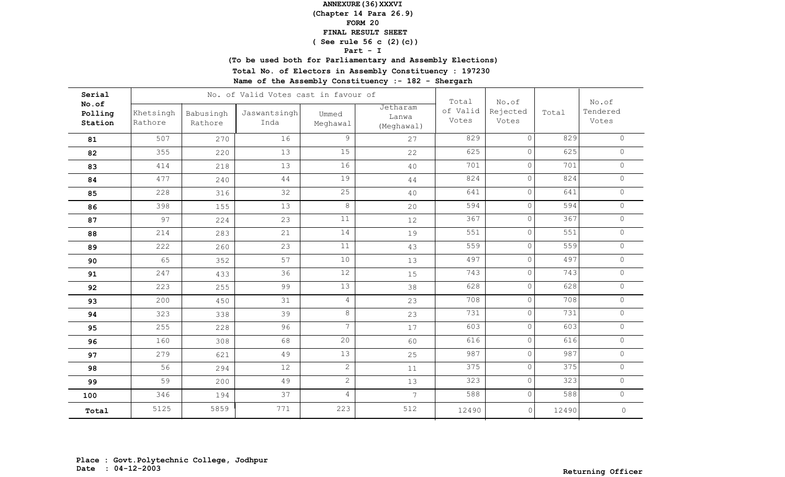**(Chapter 14 Para 26.9)**

### **FORM 20**

#### **FINAL RESULT SHEET**

# **( See rule 56 c (2)(c))**

### **Part - I**

**(To be used both for Parliamentary and Assembly Elections)**

**Total No. of Electors in Assembly Constituency : 197230**

| Serial                      |                      |                      | No. of Valid Votes cast in favour of |                   |                                 | Total             | No.of             |       | No.of               |
|-----------------------------|----------------------|----------------------|--------------------------------------|-------------------|---------------------------------|-------------------|-------------------|-------|---------------------|
| No.of<br>Polling<br>Station | Khetsingh<br>Rathore | Babusingh<br>Rathore | Jaswantsingh<br>Inda                 | Ummed<br>Meghawal | Jetharam<br>Lanwa<br>(Meghawal) | of Valid<br>Votes | Rejected<br>Votes | Total | Tendered<br>Votes   |
| 81                          | 507                  | 270                  | 16                                   | 9                 | 27                              | 829               | $\Omega$          | 829   | $\Omega$            |
| 82                          | 355                  | 220                  | 13                                   | 15                | 22                              | 625               | $\circ$           | 625   | $\circ$             |
| 83                          | 414                  | 218                  | 13                                   | 16                | 40                              | 701               | $\Omega$          | 701   | $\circ$             |
| 84                          | 477                  | 240                  | 44                                   | 19                | 44                              | 824               | $\circ$           | 824   | $\circ$             |
| 85                          | 228                  | 316                  | 32                                   | 25                | 40                              | 641               | $\circ$           | 641   | $\circ$             |
| 86                          | 398                  | 155                  | 13                                   | $\,8\,$           | 20                              | 594               | $\circ$           | 594   | $\circ$             |
| 87                          | 97                   | 224                  | 23                                   | 11                | 12                              | 367               | $\circ$           | 367   | $\circ$             |
| 88                          | 214                  | 283                  | 21                                   | 14                | 19                              | 551               | $\circ$           | 551   | $\circ$             |
| 89                          | 222                  | 260                  | 23                                   | 11                | 43                              | 559               | $\circ$           | 559   | $\circ$             |
| 90                          | 65                   | 352                  | 57                                   | 10                | 13                              | 497               | $\circ$           | 497   | $\circ$             |
| 91                          | 247                  | 433                  | 36                                   | 12                | 15                              | 743               | $\circ$           | 743   | $\circ$             |
| 92                          | 223                  | 255                  | 99                                   | 13                | 38                              | 628               | $\circ$           | 628   | $\circ$             |
| 93                          | 200                  | 450                  | 31                                   | $\overline{4}$    | 23                              | 708               | $\circ$           | 708   | $\circ$             |
| 94                          | 323                  | 338                  | 39                                   | $\,8\,$           | 23                              | 731               | $\circ$           | 731   | $\circ$             |
| 95                          | 255                  | 228                  | 96                                   | $\overline{7}$    | 17                              | 603               | $\circ$           | 603   | $\circledcirc$      |
| 96                          | 160                  | 308                  | 68                                   | 20                | 60                              | 616               | $\circ$           | 616   | $\Omega$            |
| 97                          | 279                  | 621                  | 49                                   | 13                | 25                              | 987               | $\circ$           | 987   | $\circ$             |
| 98                          | 56                   | 294                  | 12                                   | $\overline{2}$    | 11                              | 375               | $\circ$           | 375   | $\circ$             |
| 99                          | 59                   | 200                  | 49                                   | $\overline{c}$    | 13                              | 323               | $\circ$           | 323   | $\circ$             |
| 100                         | 346                  | 194                  | 37                                   | $\overline{4}$    | $7\overline{ }$                 | 588               | $\circ$           | 588   | $\circ$             |
| Total                       | 5125                 | 5859                 | 771                                  | 223               | 512                             | 12490             | $\circ$           | 12490 | $\mathsf{O}\xspace$ |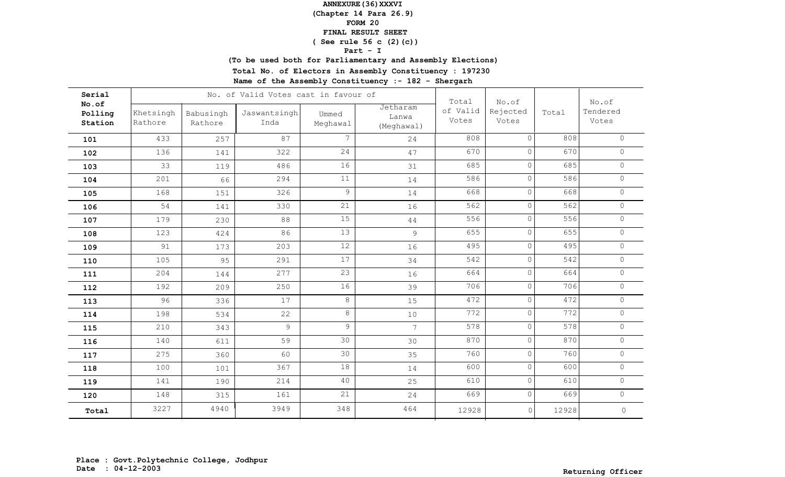**(Chapter 14 Para 26.9)**

### **FORM 20**

#### **FINAL RESULT SHEET**

## **( See rule 56 c (2)(c))**

### **Part - I**

**(To be used both for Parliamentary and Assembly Elections)**

**Total No. of Electors in Assembly Constituency : 197230**

| Serial                      |                      |                      |                      |                   | No. of Valid Votes cast in favour of |                            |                            |       |                            |  |  |
|-----------------------------|----------------------|----------------------|----------------------|-------------------|--------------------------------------|----------------------------|----------------------------|-------|----------------------------|--|--|
| No.of<br>Polling<br>Station | Khetsingh<br>Rathore | Babusingh<br>Rathore | Jaswantsingh<br>Inda | Ummed<br>Meghawal | Jetharam<br>Lanwa<br>(Meghawal)      | Total<br>of Valid<br>Votes | No.of<br>Rejected<br>Votes | Total | No.of<br>Tendered<br>Votes |  |  |
| 101                         | 433                  | 257                  | 87                   | 7                 | 24                                   | 808                        | $\Omega$                   | 808   | $\Omega$                   |  |  |
| 102                         | 136                  | 141                  | 322                  | 24                | 47                                   | 670                        | 0                          | 670   | $\circ$                    |  |  |
| 103                         | 33                   | 119                  | 486                  | 16                | 31                                   | 685                        | $\circ$                    | 685   | $\circ$                    |  |  |
| 104                         | 201                  | 66                   | 294                  | 11                | 14                                   | 586                        | $\circ$                    | 586   | $\circ$                    |  |  |
| 105                         | 168                  | 151                  | 326                  | $\mathsf 9$       | 14                                   | 668                        | $\circ$                    | 668   | $\circ$                    |  |  |
| 106                         | 54                   | 141                  | 330                  | 21                | 16                                   | 562                        | 0                          | 562   | $\circ$                    |  |  |
| 107                         | 179                  | 230                  | 88                   | 15                | $4\,4$                               | 556                        | 0                          | 556   | $\circ$                    |  |  |
| 108                         | 123                  | 424                  | 86                   | 13                | 9                                    | 655                        | $\circ$                    | 655   | $\circ$                    |  |  |
| 109                         | 91                   | 173                  | 203                  | 12                | 16                                   | 495                        | $\circ$                    | 495   | $\circ$                    |  |  |
| 110                         | 105                  | 95                   | 291                  | $17$              | 34                                   | 542                        | $\circ$                    | 542   | $\circ$                    |  |  |
| 111                         | 204                  | 144                  | 277                  | 23                | 16                                   | 664                        | $\circ$                    | 664   | $\circ$                    |  |  |
| 112                         | 192                  | 209                  | 250                  | 16                | 39                                   | 706                        | $\circ$                    | 706   | $\circ$                    |  |  |
| 113                         | 96                   | 336                  | 17                   | 8                 | 15                                   | 472                        | $\circ$                    | 472   | $\circ$                    |  |  |
| 114                         | 198                  | 534                  | 22                   | $8\,$             | $10$                                 | 772                        | $\circ$                    | 772   | $\Omega$                   |  |  |
| 115                         | 210                  | 343                  | 9                    | 9                 | $7\overline{ }$                      | 578                        | $\circ$                    | 578   | $\circledcirc$             |  |  |
| 116                         | 140                  | 611                  | 59                   | 30                | 30                                   | 870                        | $\circ$                    | 870   | $\Omega$                   |  |  |
| 117                         | 275                  | 360                  | 60                   | 30                | 35                                   | 760                        | $\circ$                    | 760   | $\circ$                    |  |  |
| 118                         | 100                  | 101                  | 367                  | 18                | 14                                   | 600                        | $\circ$                    | 600   | $\circ$                    |  |  |
| 119                         | 141                  | 190                  | 214                  | 40                | 25                                   | 610                        | $\overline{0}$             | 610   | $\circ$                    |  |  |
| 120                         | 148                  | 315                  | 161                  | 21                | 24                                   | 669                        | $\circ$                    | 669   | $\circ$                    |  |  |
| Total                       | 3227                 | 4940                 | 3949                 | 348               | 464                                  | 12928                      | $\circ$                    | 12928 | $\mathsf{O}\xspace$        |  |  |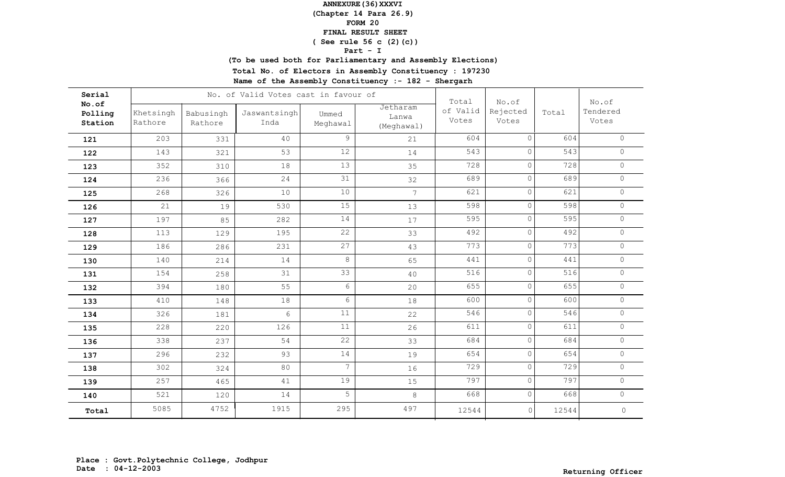**(Chapter 14 Para 26.9)**

### **FORM 20**

#### **FINAL RESULT SHEET**

## **( See rule 56 c (2)(c))**

### **Part - I**

**(To be used both for Parliamentary and Assembly Elections)**

**Total No. of Electors in Assembly Constituency : 197230**

| Serial                      |                      |                      | No. of Valid Votes cast in favour of | Total             | No.of                           |                   | No.of             |       |                     |
|-----------------------------|----------------------|----------------------|--------------------------------------|-------------------|---------------------------------|-------------------|-------------------|-------|---------------------|
| No.of<br>Polling<br>Station | Khetsingh<br>Rathore | Babusingh<br>Rathore | Jaswantsingh<br>Inda                 | Ummed<br>Meghawal | Jetharam<br>Lanwa<br>(Meghawal) | of Valid<br>Votes | Rejected<br>Votes | Total | Tendered<br>Votes   |
| 121                         | 203                  | 331                  | 40                                   | 9                 | 21                              | 604               | $\Omega$          | 604   | $\Omega$            |
| 122                         | 143                  | 321                  | 53                                   | 12                | 14                              | 543               | 0                 | 543   | $\circ$             |
| 123                         | 352                  | 310                  | 18                                   | 13                | 35                              | 728               | 0                 | 728   | $\circ$             |
| 124                         | 236                  | 366                  | 24                                   | 31                | 32                              | 689               | $\circ$           | 689   | $\circ$             |
| 125                         | 268                  | 326                  | 10                                   | 10                | $\overline{7}$                  | 621               | $\circ$           | 621   | $\circ$             |
| 126                         | 21                   | 19                   | 530                                  | 15                | 13                              | 598               | $\circ$           | 598   | $\circ$             |
| 127                         | 197                  | 85                   | 282                                  | 14                | 17                              | 595               | 0                 | 595   | $\circ$             |
| 128                         | 113                  | 129                  | 195                                  | 22                | 33                              | 492               | 0                 | 492   | $\circ$             |
| 129                         | 186                  | 286                  | 231                                  | 27                | 43                              | 773               | $\circ$           | 773   | $\circ$             |
| 130                         | 140                  | 214                  | 14                                   | 8                 | 65                              | 441               | $\circ$           | 441   | $\circ$             |
| 131                         | 154                  | 258                  | 31                                   | 33                | 40                              | 516               | $\circ$           | 516   | $\circ$             |
| 132                         | 394                  | 180                  | 55                                   | $6\overline{6}$   | 20                              | 655               | $\circ$           | 655   | $\circ$             |
| 133                         | 410                  | 148                  | 18                                   | 6                 | 18                              | 600               | $\circ$           | 600   | $\circ$             |
| 134                         | 326                  | 181                  | 6                                    | 11                | 22                              | 546               | $\circ$           | 546   | $\circ$             |
| 135                         | 228                  | 220                  | 126                                  | 11                | 26                              | 611               | $\circ$           | 611   | $\circledcirc$      |
| 136                         | 338                  | 237                  | 54                                   | 22                | 33                              | 684               | $\circ$           | 684   | $\circ$             |
| 137                         | 296                  | 232                  | 93                                   | 14                | 19                              | 654               | $\circ$           | 654   | $\circ$             |
| 138                         | 302                  | 324                  | 80                                   | $\overline{7}$    | 16                              | 729               | $\circ$           | 729   | $\circ$             |
| 139                         | 257                  | 465                  | 41                                   | 19                | 15                              | 797               | $\overline{0}$    | 797   | $\circ$             |
| 140                         | 521                  | 120                  | 14                                   | 5                 | 8                               | 668               | $\circ$           | 668   | $\circ$             |
| Total                       | 5085                 | 4752                 | 1915                                 | 295               | 497                             | 12544             | $\circ$           | 12544 | $\mathsf{O}\xspace$ |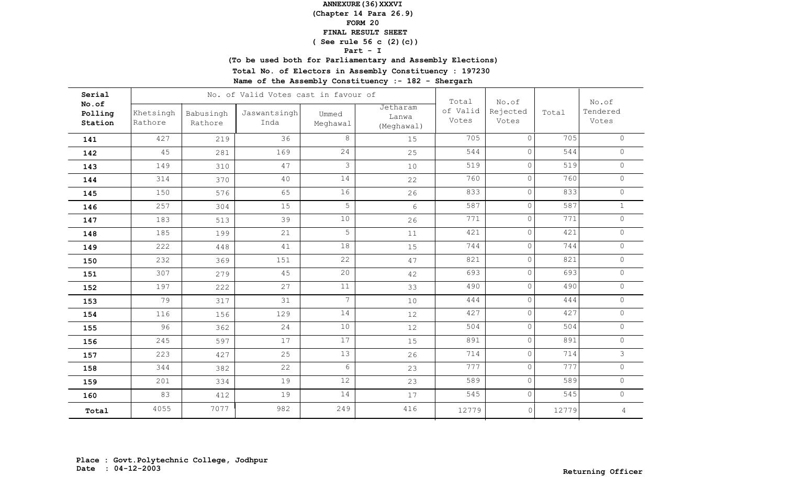**(Chapter 14 Para 26.9)**

### **FORM 20**

#### **FINAL RESULT SHEET**

## **( See rule 56 c (2)(c))**

### **Part - I**

**(To be used both for Parliamentary and Assembly Elections)**

**Total No. of Electors in Assembly Constituency : 197230**

| Serial                      |                      |                      | No. of Valid Votes cast in favour of |                   |                                 | Total             | No.of             |       | No.of             |
|-----------------------------|----------------------|----------------------|--------------------------------------|-------------------|---------------------------------|-------------------|-------------------|-------|-------------------|
| No.of<br>Polling<br>Station | Khetsingh<br>Rathore | Babusingh<br>Rathore | Jaswantsingh<br>Inda                 | Ummed<br>Meghawal | Jetharam<br>Lanwa<br>(Meghawal) | of Valid<br>Votes | Rejected<br>Votes | Total | Tendered<br>Votes |
| 141                         | 427                  | 219                  | 36                                   | 8                 | 15                              | 705               | $\Omega$          | 705   | $\Omega$          |
| 142                         | 45                   | 281                  | 169                                  | 24                | 25                              | 544               | 0                 | 544   | $\circ$           |
| 143                         | 149                  | 310                  | 47                                   | $\mathcal{S}$     | 10                              | 519               | $\circ$           | 519   | $\circ$           |
| 144                         | 314                  | 370                  | 40                                   | 14                | 22                              | 760               | $\circ$           | 760   | $\circ$           |
| 145                         | 150                  | 576                  | 65                                   | 16                | 26                              | 833               | $\circ$           | 833   | $\circ$           |
| 146                         | 257                  | 304                  | 15                                   | 5                 | 6                               | 587               | $\circ$           | 587   | $\mathbf{1}$      |
| 147                         | 183                  | 513                  | 39                                   | $10$              | 26                              | 771               | 0                 | 771   | $\circ$           |
| 148                         | 185                  | 199                  | 21                                   | 5                 | 11                              | 421               | $\circ$           | 421   | $\circ$           |
| 149                         | 222                  | 448                  | 41                                   | 18                | 15                              | 744               | $\circ$           | 744   | $\circ$           |
| 150                         | 232                  | 369                  | 151                                  | 22                | 47                              | 821               | $\circ$           | 821   | $\circ$           |
| 151                         | 307                  | 279                  | 45                                   | 20                | 42                              | 693               | $\circ$           | 693   | $\circ$           |
| 152                         | 197                  | 222                  | 27                                   | $11$              | 33                              | 490               | $\circ$           | 490   | $\circ$           |
| 153                         | 79                   | 317                  | 31                                   | 7                 | 10                              | 444               | $\circ$           | 444   | $\circ$           |
| 154                         | 116                  | 156                  | 129                                  | 14                | 12                              | 427               | $\circ$           | 427   | $\Omega$          |
| 155                         | 96                   | 362                  | 24                                   | 10                | 12                              | 504               | $\circ$           | 504   | $\circledcirc$    |
| 156                         | 245                  | 597                  | 17                                   | 17                | 15                              | 891               | $\circ$           | 891   | $\Omega$          |
| 157                         | 223                  | 427                  | 25                                   | 13                | 26                              | 714               | $\circ$           | 714   | 3                 |
| 158                         | 344                  | 382                  | 22                                   | $6\,$             | 23                              | 777               | $\circ$           | 777   | $\circ$           |
| 159                         | 201                  | 334                  | 19                                   | 12                | 23                              | 589               | $\circ$           | 589   | $\circ$           |
| 160                         | 83                   | 412                  | 19                                   | 14                | 17                              | 545               | $\circ$           | 545   | $\circ$           |
| Total                       | 4055                 | 7077                 | 982                                  | 249               | 416                             | 12779             | $\circ$           | 12779 | $\overline{4}$    |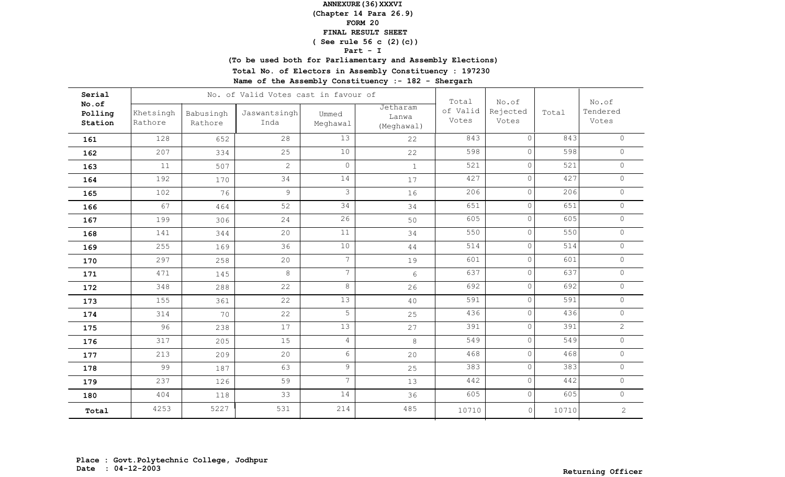**(Chapter 14 Para 26.9)**

### **FORM 20**

#### **FINAL RESULT SHEET**

## **( See rule 56 c (2)(c))**

### **Part - I**

**(To be used both for Parliamentary and Assembly Elections)**

**Total No. of Electors in Assembly Constituency : 197230**

| Serial                      |                      |                      | No. of Valid Votes cast in favour of |                   |                                 | Total             | No.of             |       | No.of             |
|-----------------------------|----------------------|----------------------|--------------------------------------|-------------------|---------------------------------|-------------------|-------------------|-------|-------------------|
| No.of<br>Polling<br>Station | Khetsingh<br>Rathore | Babusingh<br>Rathore | Jaswantsingh<br>Inda                 | Ummed<br>Meghawal | Jetharam<br>Lanwa<br>(Meghawal) | of Valid<br>Votes | Rejected<br>Votes | Total | Tendered<br>Votes |
| 161                         | 128                  | 652                  | 28                                   | 13                | 22                              | 843               | $\Omega$          | 843   | $\Omega$          |
| 162                         | 207                  | 334                  | 25                                   | 10                | 22                              | 598               | 0                 | 598   | $\circ$           |
| 163                         | 11                   | 507                  | $\mathbf{2}$                         | $\circ$           | $\mathbf{1}$                    | 521               | $\circ$           | 521   | $\circ$           |
| 164                         | 192                  | 170                  | 34                                   | 14                | 17                              | 427               | $\circ$           | 427   | $\circ$           |
| 165                         | 102                  | 76                   | 9                                    | $\mathfrak{Z}$    | 16                              | 206               | $\circ$           | 206   | $\circ$           |
| 166                         | 67                   | 464                  | 52                                   | 34                | 34                              | 651               | 0                 | 651   | $\circ$           |
| 167                         | 199                  | 306                  | 24                                   | 26                | 50                              | 605               | 0                 | 605   | $\circ$           |
| 168                         | 141                  | 344                  | 20                                   | 11                | 34                              | 550               | $\circ$           | 550   | $\circ$           |
| 169                         | 255                  | 169                  | 36                                   | 10                | 44                              | 514               | $\circ$           | 514   | $\circ$           |
| 170                         | 297                  | 258                  | 20                                   | $7\overline{ }$   | 19                              | 601               | $\circ$           | 601   | $\circ$           |
| 171                         | 471                  | 145                  | $8\,$                                | $7\overline{ }$   | 6                               | 637               | $\circ$           | 637   | $\circ$           |
| 172                         | 348                  | 288                  | 22                                   | 8                 | 26                              | 692               | $\circ$           | 692   | $\circ$           |
| 173                         | 155                  | 361                  | 22                                   | 13                | 40                              | 591               | $\circ$           | 591   | $\circ$           |
| 174                         | 314                  | 70                   | 22                                   | 5                 | 25                              | 436               | $\circ$           | 436   | $\Omega$          |
| 175                         | 96                   | 238                  | 17                                   | 13                | 27                              | 391               | $\circ$           | 391   | $\overline{2}$    |
| 176                         | 317                  | 205                  | 15                                   | $\overline{4}$    | 8                               | 549               | $\circ$           | 549   | $\Omega$          |
| 177                         | 213                  | 209                  | 20                                   | $6\phantom{.}6$   | 20                              | 468               | $\circ$           | 468   | $\circ$           |
| 178                         | 99                   | 187                  | 63                                   | $\mathfrak g$     | 25                              | 383               | $\circ$           | 383   | $\circ$           |
| 179                         | 237                  | 126                  | 59                                   | $\overline{7}$    | 13                              | 442               | $\overline{0}$    | 442   | $\circ$           |
| 180                         | 404                  | 118                  | 33                                   | 14                | 36                              | 605               | $\circ$           | 605   | $\circ$           |
| Total                       | 4253                 | 5227                 | 531                                  | 214               | 485                             | 10710             | $\circ$           | 10710 | $\overline{c}$    |